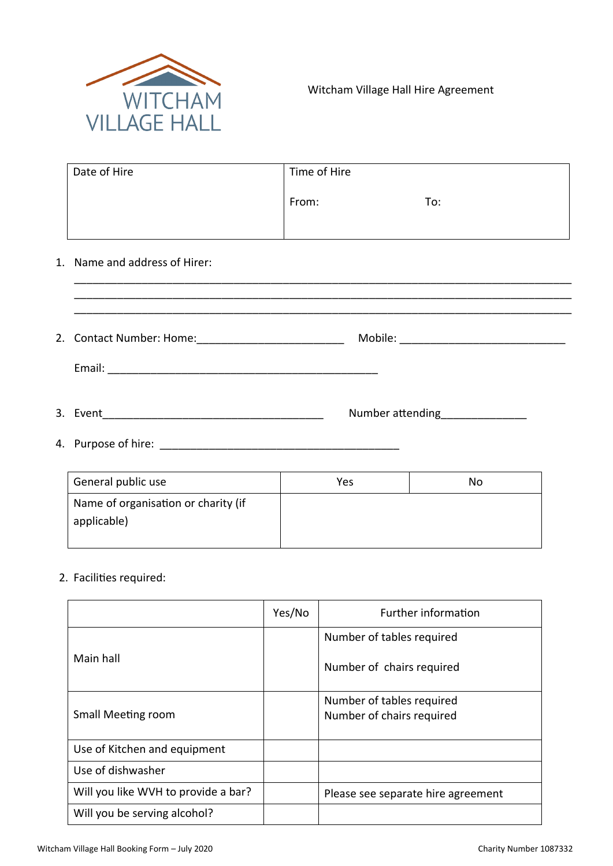

| Date of Hire | Time of Hire |     |
|--------------|--------------|-----|
|              | From:        | To: |
|              |              |     |

\_\_\_\_\_\_\_\_\_\_\_\_\_\_\_\_\_\_\_\_\_\_\_\_\_\_\_\_\_\_\_\_\_\_\_\_\_\_\_\_\_\_\_\_\_\_\_\_\_\_\_\_\_\_\_\_\_\_\_\_\_\_\_\_\_\_\_\_\_\_\_\_\_\_\_\_\_\_\_\_\_

## 1. Name and address of Hirer:

| 2. Contact Number: Home: [19] [19] Contact Number: Home: [19] [19] Contact Number |                         |
|-----------------------------------------------------------------------------------|-------------------------|
|                                                                                   |                         |
| 3. Event<br><u> 1980 - Jan Barbara Barbara, manazarta da </u>                     | Number attending Number |

4. Purpose of hire: \_\_\_\_\_\_\_\_\_\_\_\_\_\_\_\_\_\_\_\_\_\_\_\_\_\_\_\_\_\_\_\_\_\_\_\_\_\_\_

| General public use                                 | Yes | No |
|----------------------------------------------------|-----|----|
| Name of organisation or charity (if<br>applicable) |     |    |

## 2. Facilities required:

|                                     | Yes/No | Further information                                    |
|-------------------------------------|--------|--------------------------------------------------------|
|                                     |        | Number of tables required                              |
| Main hall                           |        | Number of chairs required                              |
| Small Meeting room                  |        | Number of tables required<br>Number of chairs required |
| Use of Kitchen and equipment        |        |                                                        |
| Use of dishwasher                   |        |                                                        |
| Will you like WVH to provide a bar? |        | Please see separate hire agreement                     |
| Will you be serving alcohol?        |        |                                                        |